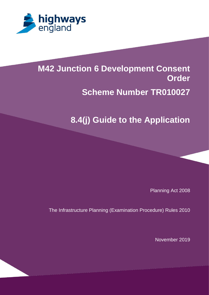

# **M42 Junction 6 Development Consent [Scheme Number TR100x3]**

#### **1.3 Percy intervals in the Application Contraction Control Contraction Contraction Contracts Scheme Number TR010027**

## **8.4(j) Guide to the Application**

Planning Act 2008

The Infrastructure Planning (Examination Procedure) Rules 2010

November 2019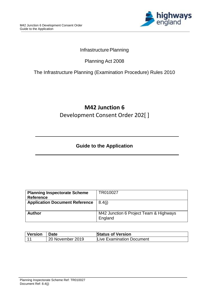

#### Infrastructure Planning

### Planning Act 2008

#### The Infrastructure Planning (Examination Procedure) Rules 2010

## **M42 Junction 6** Development Consent Order 202[ ]

### **Guide to the Application**

| TR010027                               |
|----------------------------------------|
|                                        |
| 8.4(i)                                 |
|                                        |
|                                        |
| M42 Junction 6 Project Team & Highways |
| England                                |
|                                        |

| <b>Version</b> | <b>∣ Date</b>    | <b>Status of Version</b>  |
|----------------|------------------|---------------------------|
|                | 20 November 2019 | Live Examination Document |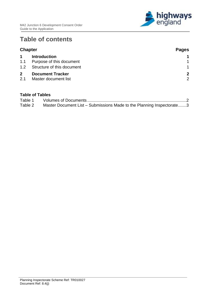

## **Table of contents**

|                     | <b>Chapter</b>                                  | <b>Pages</b>                  |
|---------------------|-------------------------------------------------|-------------------------------|
| $\mathbf 1$         | <b>Introduction</b>                             |                               |
| 1.1                 | Purpose of this document                        |                               |
| 1.2                 | Structure of this document                      | $\overline{1}$                |
| $\mathbf{2}$<br>2.1 | <b>Document Tracker</b><br>Master document list | $\mathbf{2}$<br>$\mathcal{P}$ |

#### **Table of Tables**

| Table 1 |                                                                       |  |
|---------|-----------------------------------------------------------------------|--|
| Table 2 | Master Document List – Submissions Made to the Planning Inspectorate3 |  |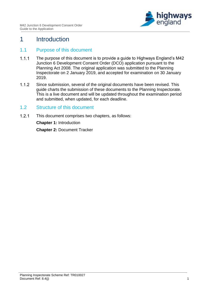

## <span id="page-3-0"></span>1 Introduction

#### <span id="page-3-1"></span>1.1 Purpose of this document

- $1.1.1$ The purpose of this document is to provide a guide to Highways England's M42 Junction 6 Development Consent Order (DCO) application pursuant to the Planning Act 2008. The original application was submitted to the Planning Inspectorate on 2 January 2019, and accepted for examination on 30 January 2019.
- $1.1.2$ Since submission, several of the original documents have been revised. This guide charts the submission of these documents to the Planning Inspectorate. This is a live document and will be updated throughout the examination period and submitted, when updated, for each deadline.

#### <span id="page-3-2"></span>1.2 Structure of this document

 $1.2.1$ This document comprises two chapters, as follows: **Chapter 1:** Introduction **Chapter 2:** Document Tracker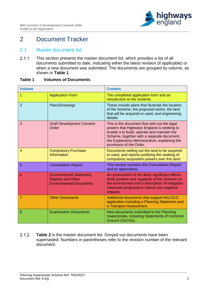

## <span id="page-4-0"></span>2 Document Tracker

#### <span id="page-4-1"></span>2.1 Master document list

 $2.1.1$ This section presents the master document list, which provides a list of all documents submitted to date, indicating either the latest revision (if applicable) or when a new document was submitted. The documents are grouped by volume, as shown in **[Table 1](#page-4-2)**.

#### <span id="page-4-2"></span>**Table 1 Volumes of Documents**

| <b>Volume</b>  |                                                                                               | <b>Content</b>                                                                                                                                                                                                                                                     |
|----------------|-----------------------------------------------------------------------------------------------|--------------------------------------------------------------------------------------------------------------------------------------------------------------------------------------------------------------------------------------------------------------------|
| 1              | <b>Application Form</b>                                                                       | The completed application form and an<br>introduction to the Scheme.                                                                                                                                                                                               |
| $\overline{2}$ | Plans/Drawings                                                                                | These include plans that illustrate the location<br>of the Scheme, the proposed works, the land<br>that will be acquired or used, and engineering<br>details.                                                                                                      |
| 3              | <b>Draft Development Consent</b><br>Order                                                     | This is the document that sets out the legal<br>powers that Highways England is seeking to<br>enable it to build, operate and maintain the<br>Scheme, together with a separate document,<br>the Explanatory Memorandum, explaining the<br>provisions of the Order. |
| $\overline{4}$ | <b>Compulsory Purchase</b><br><b>Information</b>                                              | Documents setting out the land to be acquired<br>or used, and reports justifying the seeking of<br>compulsory acquisition powers over this land.                                                                                                                   |
| 5              | <b>Consultation Report</b>                                                                    | This section contains the Consultation Report<br>and its appendices.                                                                                                                                                                                               |
| 6              | <b>Environmental Statement,</b><br><b>Reports and Other</b><br><b>Environmental Documents</b> | An assessment of the likely significant effects<br>(both positive and negative) of the Scheme on<br>the environment and a description of mitigation<br>measures proposed to reduce any negative<br>impacts.                                                        |
| $\overline{7}$ | <b>Other Documents</b>                                                                        | Additional documents that support this DCO<br>application including a Planning Statement and<br>a Transport Assessment.                                                                                                                                            |
| 8              | <b>Examination Documents</b>                                                                  | New documents submitted to the Planning<br>Inspectorate, including Statements of Common<br>Ground (SoCGs).                                                                                                                                                         |

 $2.1.2$ **[Table 2](#page-5-0)** is the master document list. Greyed out documents have been superseded. Numbers in parentheses refer to the revision number of the relevant document.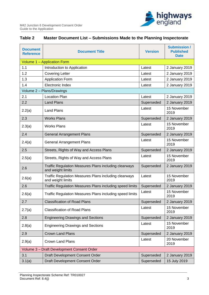

#### <span id="page-5-0"></span>**Table 2 Master Document List – Submissions Made to the Planning Inspectorate**

| <b>Document</b><br><b>Reference</b>        | <b>Document Title</b>                                                             | <b>Version</b> | <b>Submission /</b><br><b>Published</b><br><b>Date</b> |
|--------------------------------------------|-----------------------------------------------------------------------------------|----------------|--------------------------------------------------------|
|                                            | Volume 1 - Application Form                                                       |                |                                                        |
| 1.1                                        | Introduction to Application                                                       | Latest         | 2 January 2019                                         |
| 1.2                                        | <b>Covering Letter</b>                                                            | Latest         | 2 January 2019                                         |
| 1.3                                        | <b>Application Form</b>                                                           | Latest         | 2 January 2019                                         |
| 1.4                                        | Electronic Index                                                                  | Latest         | 2 January 2019                                         |
|                                            | Volume 2 - Plans/Drawings                                                         |                |                                                        |
| 2.1                                        | <b>Location Plan</b>                                                              | Latest         | 2 January 2019                                         |
| 2.2                                        | <b>Land Plans</b>                                                                 | Superseded     | 2 January 2019                                         |
| 2.2(a)                                     | <b>Land Plans</b>                                                                 | Latest         | 15 November<br>2019                                    |
| 2.3                                        | <b>Works Plans</b>                                                                | Superseded     | 2 January 2019                                         |
| 2.3(a)                                     | <b>Works Plans</b>                                                                | Latest         | 15 November<br>2019                                    |
| 2.4                                        | <b>General Arrangement Plans</b>                                                  | Superseded     | 2 January 2019                                         |
| 2.4(a)                                     | <b>General Arrangement Plans</b>                                                  | Latest         | 15 November<br>2019                                    |
| 2.5                                        | Streets, Rights of Way and Access Plans                                           | Superseded     | 2 January 2019                                         |
| 2.5(a)                                     | Streets, Rights of Way and Access Plans                                           | Latest         | 15 November<br>2019                                    |
| 2.6                                        | Traffic Regulation Measures Plans including clearways<br>and weight limits        | Superseded     | 2 January 2019                                         |
| 2.6(a)                                     | <b>Traffic Regulation Measures Plans including clearways</b><br>and weight limits | Latest         | 15 November<br>2019                                    |
| 2.6                                        | Traffic Regulation Measures Plans including speed limits                          | Superseded     | 2 January 2019                                         |
| 2.6(a)                                     | Traffic Regulation Measures Plans including speed limits                          | Latest         | 15 November<br>2019                                    |
| 2.7                                        | <b>Classification of Road Plans</b>                                               | Superseded     | 2 January 2019                                         |
| 2.7(a)                                     | <b>Classification of Road Plans</b>                                               | Latest         | 15 November<br>2019                                    |
| 2.8                                        | <b>Engineering Drawings and Sections</b>                                          | Superseded     | 2 January 2019                                         |
| 2.8(a)                                     | <b>Engineering Drawings and Sections</b>                                          | Latest         | 15 November<br>2019                                    |
| 2.9                                        | <b>Crown Land Plans</b>                                                           | Superseded     | 2 January 2019                                         |
| 2.9(a)                                     | <b>Crown Land Plans</b>                                                           | Latest         | 20 November<br>2019                                    |
| Volume 3 - Draft Development Consent Order |                                                                                   |                |                                                        |
| 3.1                                        | Draft Development Consent Order                                                   | Superseded     | 2 January 2019                                         |
| 3.1(a)                                     | Draft Development Consent Order                                                   | Superseded     | 15 July 2019                                           |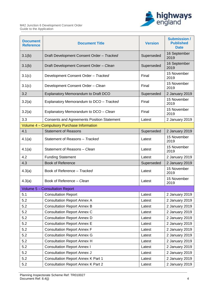

| <b>Document</b><br><b>Reference</b> | <b>Document Title</b>                             | <b>Version</b> | <b>Submission /</b><br><b>Published</b><br><b>Date</b> |
|-------------------------------------|---------------------------------------------------|----------------|--------------------------------------------------------|
| 3.1(b)                              | Draft Development Consent Order - Tracked         | Superseded     | 16 September<br>2019                                   |
| 3.1(b)                              | Draft Development Consent Order - Clean           | Superseded     | 16 September<br>2019                                   |
| 3.1(c)                              | Development Consent Order - Tracked               | Final          | 15 November<br>2019                                    |
| 3.1(c)                              | Development Consent Order - Clean                 | Final          | 15 November<br>2019                                    |
| 3.2                                 | <b>Explanatory Memorandum to Draft DCO</b>        | Superseded     | 2 January 2019                                         |
| 3.2(a)                              | Explanatory Memorandum to DCO - Tracked           | Final          | 15 November<br>2019                                    |
| 3.2(a)                              | Explanatory Memorandum to DCO - Clean             | Final          | 15 November<br>2019                                    |
| 3.3                                 | <b>Consents and Agreements Position Statement</b> | Latest         | 2 January 2019                                         |
|                                     | Volume 4 - Compulsory Purchase Information        |                |                                                        |
| 4.1                                 | <b>Statement of Reasons</b>                       | Superseded     | 2 January 2019                                         |
| 4.1(a)                              | Statement of Reasons - Tracked                    | Latest         | 15 November<br>2019                                    |
| 4.1(a)                              | Statement of Reasons - Clean                      | Latest         | 15 November<br>2019                                    |
| 4.2                                 | <b>Funding Statement</b>                          | Latest         | 2 January 2019                                         |
| 4.3                                 | <b>Book of Reference</b>                          | Superseded     | 2 January 2019                                         |
| 4.3(a)                              | Book of Reference - Tracked                       | Latest         | 15 November<br>2019                                    |
| 4.3(a)                              | Book of Reference - Clean                         | Latest         | 15 November<br>2019                                    |
|                                     | Volume 5 - Consultation Report                    |                |                                                        |
| 5.1                                 | <b>Consultation Report</b>                        | Latest         | 2 January 2019                                         |
| 5.2                                 | <b>Consultation Report Annex A</b>                | Latest         | 2 January 2019                                         |
| 5.2                                 | <b>Consultation Report Annex B</b>                | Latest         | 2 January 2019                                         |
| 5.2                                 | <b>Consultation Report Annex C</b>                | Latest         | 2 January 2019                                         |
| 5.2                                 | <b>Consultation Report Annex D</b>                | Latest         | 2 January 2019                                         |
| 5.2                                 | <b>Consultation Report Annex E</b>                | Latest         | 2 January 2019                                         |
| 5.2                                 | <b>Consultation Report Annex F</b>                | Latest         | 2 January 2019                                         |
| 5.2                                 | <b>Consultation Report Annex G</b>                | Latest         | 2 January 2019                                         |
| 5.2                                 | <b>Consultation Report Annex H</b>                | Latest         | 2 January 2019                                         |
| 5.2                                 | <b>Consultation Report Annex I</b>                | Latest         | 2 January 2019                                         |
| 5.2                                 | <b>Consultation Report Annex J</b>                | Latest         | 2 January 2019                                         |
| 5.2                                 | <b>Consultation Report Annex K Part 1</b>         | Latest         | 2 January 2019                                         |
| 5.2                                 | <b>Consultation Report Annex K Part 2</b>         | Latest         | 2 January 2019                                         |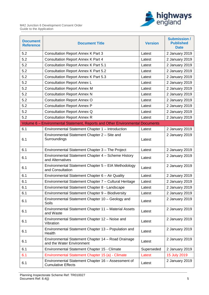

| <b>Document</b><br><b>Reference</b> | <b>Document Title</b>                                                           | <b>Version</b> | <b>Submission /</b><br><b>Published</b><br><b>Date</b> |
|-------------------------------------|---------------------------------------------------------------------------------|----------------|--------------------------------------------------------|
| 5.2                                 | <b>Consultation Report Annex K Part 3</b>                                       | Latest         | 2 January 2019                                         |
| 5.2                                 | <b>Consultation Report Annex K Part 4</b>                                       | Latest         | 2 January 2019                                         |
| 5.2                                 | <b>Consultation Report Annex K Part 5.1</b>                                     | Latest         | 2 January 2019                                         |
| 5.2                                 | <b>Consultation Report Annex K Part 5.2</b>                                     | Latest         | 2 January 2019                                         |
| 5.2                                 | <b>Consultation Report Annex K Part 5.3</b>                                     | Latest         | 2 January 2019                                         |
| 5.2                                 | <b>Consultation Report Annex L</b>                                              | Latest         | 2 January 2019                                         |
| 5.2                                 | <b>Consultation Report Annex M</b>                                              | Latest         | 2 January 2019                                         |
| 5.2                                 | <b>Consultation Report Annex N</b>                                              | Latest         | 2 January 2019                                         |
| 5.2                                 | <b>Consultation Report Annex O</b>                                              | Latest         | 2 January 2019                                         |
| 5.2                                 | <b>Consultation Report Annex P</b>                                              | Latest         | 2 January 2019                                         |
| 5.2                                 | <b>Consultation Report Annex Q</b>                                              | Latest         | 2 January 2019                                         |
| 5.2                                 | <b>Consultation Report Annex R</b>                                              | Latest         | 2 January 2019                                         |
|                                     | Volume 6 - Environmental Statement, Reports and Other Environmental Documents   |                |                                                        |
| 6.1                                 | Environmental Statement Chapter 1 - Introduction                                | Latest         | 2 January 2019                                         |
| 6.1                                 | Environmental Statement Chapter 2 - Site and<br>Surroundings                    | Latest         | 2 January 2019                                         |
| 6.1                                 | Environmental Statement Chapter 3 - The Project                                 | Latest         | 2 January 2019                                         |
| 6.1                                 | Environmental Statement Chapter 4 - Scheme History<br>and Alternatives          | Latest         | 2 January 2019                                         |
| 6.1                                 | Environmental Statement Chapter 5 - EIA Methodology<br>and Consultation         | Latest         | 2 January 2019                                         |
| 6.1                                 | Environmental Statement Chapter 6 - Air Quality                                 | Latest         | 2 January 2019                                         |
| 6.1                                 | Environmental Statement Chapter 7 - Cultural Heritage                           | Latest         | 2 January 2019                                         |
| 6.1                                 | Environmental Statement Chapter 8 - Landscape                                   | Latest         | 2 January 2019                                         |
| 6.1                                 | Environmental Statement Chapter 9 - Biodiversity                                | Latest         | 2 January 2019                                         |
| 6.1                                 | Environmental Statement Chapter 10 - Geology and<br>Soils                       | Latest         | 2 January 2019                                         |
| 6.1                                 | Environmental Statement Chapter 11 - Material Assets<br>and Waste               | Latest         | 2 January 2019                                         |
| 6.1                                 | Environmental Statement Chapter 12 - Noise and<br>Vibration                     | Latest         | 2 January 2019                                         |
| 6.1                                 | Environmental Statement Chapter 13 - Population and<br>Health                   | Latest         | 2 January 2019                                         |
| 6.1                                 | Environmental Statement Chapter 14 - Road Drainage<br>and the Water Environment | Latest         | 2 January 2019                                         |
| 6.1                                 | Environmental Statement Chapter 15 - Climate                                    | Superseded     | 2 January 2019                                         |
| 6.1                                 | Environmental Statement Chapter 15 (a) - Climate                                | Latest         | 15 July 2019                                           |
| 6.1                                 | Environmental Statement Chapter 16 - Assessment of<br><b>Cumulative Effects</b> | Latest         | 2 January 2019                                         |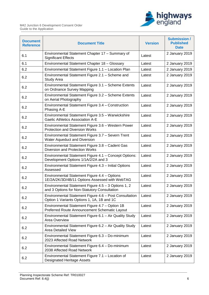

| <b>Document</b><br><b>Reference</b> | <b>Document Title</b>                                                                                | <b>Version</b> | <b>Submission /</b><br><b>Published</b><br><b>Date</b> |
|-------------------------------------|------------------------------------------------------------------------------------------------------|----------------|--------------------------------------------------------|
| 6.1                                 | Environmental Statement Chapter 17 - Summary of<br><b>Significant Effects</b>                        | Latest         | 2 January 2019                                         |
| 6.1                                 | Environmental Statement Chapter 18 - Glossary                                                        | Latest         | 2 January 2019                                         |
| 6.2                                 | Environmental Statement Figure 1.1 - Location Plan                                                   | Latest         | 2 January 2019                                         |
| 6.2                                 | Environmental Statement Figure 2.1 - Scheme and<br><b>Study Area</b>                                 | Latest         | 2 January 2019                                         |
| 6.2                                 | Environmental Statement Figure 3.1 - Scheme Extents<br>on Ordnance Survey Mapping                    | Latest         | 2 January 2019                                         |
| 6.2                                 | Environmental Statement Figure 3.2 - Scheme Extents<br>on Aerial Photography                         | Latest         | 2 January 2019                                         |
| 6.2                                 | Environmental Statement Figure 3.4 - Construction<br>Phasing A-E                                     | Latest         | 2 January 2019                                         |
| 6.2                                 | Environmental Statement Figure 3.5 - Warwickshire<br><b>Gaelic Athletics Association A-E</b>         | Latest         | 2 January 2019                                         |
| 6.2                                 | Environmental Statement Figure 3.6 - Western Power<br><b>Protection and Diversion Works</b>          | Latest         | 2 January 2019                                         |
| 6.2                                 | Environmental Statement Figure 3.7 - Severn Trent<br>Water Aqueduct and Diversion                    | Latest         | 2 January 2019                                         |
| 6.2                                 | Environmental Statement Figure 3.8 - Cadent Gas<br>Diversion and Protection Works                    | Latest         | 2 January 2019                                         |
| 6.2                                 | Environmental Statement Figure 4.1 - Concept Options:<br>Development Options 1/1A/2/2A and 3         | Latest         | 2 January 2019                                         |
| 6.2                                 | Environmental Statement Figure 4.3 - Initial Options<br>Assessed                                     | Latest         | 2 January 2019                                         |
| 6.2                                 | Environmental Statement Figure 4.4 - Options<br>1E/2A/2K/3D/4B/11 Options Assessed with WebTAG       | Latest         | 2 January 2019                                         |
| 6.2                                 | Environmental Statement Figure 4.5 - 3 Options 1, 2<br>and 3 Options for Non-Statutory Consultation  | Latest         | 2 January 2019                                         |
| 6.2                                 | Environmental Statement Figure 4.6 - Post Consultation<br>Option 1 Variants Options 1, 1A, 1B and 1C | Latest         | 2 January 2019                                         |
| 6.2                                 | Environmental Statement Figure 4.7 - Option 1B<br>Preferred Route Announcement Schematic Layout      | Latest         | 2 January 2019                                         |
| 6.2                                 | Environmental Statement Figure 6.1 - Air Quality Study<br>Area Overview                              | Latest         | 2 January 2019                                         |
| 6.2                                 | Environmental Statement Figure 6.2 - Air Quality Study<br><b>Area Detailed View</b>                  | Latest         | 2 January 2019                                         |
| 6.2                                 | Environmental Statement Figure 6.3 - Do-minimum<br>2023 Affected Road Network                        | Latest         | 2 January 2019                                         |
| 6.2                                 | Environmental Statement Figure 6.4 - Do-minimum<br>2038 Affected Road Network                        | Latest         | 2 January 2019                                         |
| 6.2                                 | Environmental Statement Figure 7.1 - Location of<br><b>Designated Heritage Assets</b>                | Latest         | 2 January 2019                                         |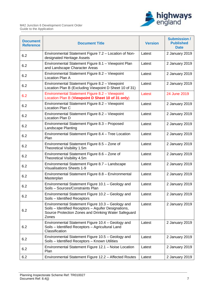

| <b>Document</b><br><b>Reference</b> | <b>Document Title</b>                                                                                                                                                      | <b>Version</b> | <b>Submission /</b><br><b>Published</b><br><b>Date</b> |
|-------------------------------------|----------------------------------------------------------------------------------------------------------------------------------------------------------------------------|----------------|--------------------------------------------------------|
| 6.2                                 | Environmental Statement Figure 7.2 - Location of Non-<br>designated Heritage Assets                                                                                        | Latest         | 2 January 2019                                         |
| 6.2                                 | Environmental Statement Figure 8.1 - Viewpoint Plan<br>and Landscape Character Areas                                                                                       | Latest         | 2 January 2019                                         |
| 6.2                                 | Environmental Statement Figure 8.2 - Viewpoint<br>Location Plan A                                                                                                          | Latest         | 2 January 2019                                         |
| 6.2                                 | Environmental Statement Figure 8.2 - Viewpoint<br>Location Plan B (Excluding Viewpoint D Sheet 10 of 31)                                                                   | Latest         | 2 January 2019                                         |
| 6.2                                 | Environmental Statement Figure 8.2 - Viewpoint<br>Location Plan B (Viewpoint D Sheet 10 of 31 only)                                                                        | Latest         | 24 June 2019                                           |
| 6.2                                 | Environmental Statement Figure 8.2 - Viewpoint<br>Location Plan C                                                                                                          | Latest         | 2 January 2019                                         |
| 6.2                                 | Environmental Statement Figure 8.2 - Viewpoint<br>Location Plan D                                                                                                          | Latest         | 2 January 2019                                         |
| 6.2                                 | Environmental Statement Figure 8.3 - Proposed<br>Landscape Planting                                                                                                        | Latest         | 2 January 2019                                         |
| 6.2                                 | Environmental Statement Figure 8.4 - Tree Location<br>Plan                                                                                                                 | Latest         | 2 January 2019                                         |
| 6.2                                 | Environmental Statement Figure 8.5 - Zone of<br>Theoretical Visibility 1.5m                                                                                                | Latest         | 2 January 2019                                         |
| 6.2                                 | Environmental Statement Figure 8.6 - Zone of<br>Theoretical Visibility 4.5m                                                                                                | Latest         | 2 January 2019                                         |
| 6.2                                 | Environmental Statement Figure 8.7 - Landscape<br><b>Visualisations Sheets 1-9</b>                                                                                         | Latest         | 2 January 2019                                         |
| 6.2                                 | Environmental Statement Figure 8.8 - Environmental<br>Masterplan                                                                                                           | Latest         | 2 January 2019                                         |
| 6.2                                 | Environmental Statement Figure 10.1 - Geology and<br>Soils - Sources/Constraints Plan                                                                                      | Latest         | 2 January 2019                                         |
| 6.2                                 | Environmental Statement Figure 10.2 - Geology and<br>Soils - Identified Receptors                                                                                          | Latest         | 2 January 2019                                         |
| 6.2                                 | Environmental Statement Figure 10.3 - Geology and<br>Soils - Identified Receptors - Aquifer Designations,<br>Source Protection Zones and Drinking Water Safeguard<br>Zones | Latest         | 2 January 2019                                         |
| 6.2                                 | Environmental Statement Figure 10.4 - Geology and<br>Soils - Identified Receptors - Agricultural Land<br>Classification                                                    | Latest         | 2 January 2019                                         |
| 6.2                                 | Environmental Statement Figure 10.5 - Geology and<br>Soils - Identified Receptors - Known Utilities                                                                        | Latest         | 2 January 2019                                         |
| 6.2                                 | Environmental Statement Figure 12.1 - Noise Location<br>Plan                                                                                                               | Latest         | 2 January 2019                                         |
| 6.2                                 | Environmental Statement Figure 12.2 - Affected Routes                                                                                                                      | Latest         | 2 January 2019                                         |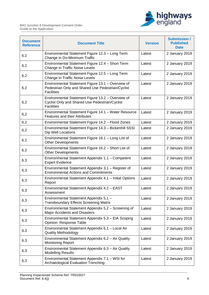

| <b>Document</b><br><b>Reference</b> | <b>Document Title</b>                                                                                                       | <b>Version</b> | <b>Submission /</b><br><b>Published</b><br><b>Date</b> |
|-------------------------------------|-----------------------------------------------------------------------------------------------------------------------------|----------------|--------------------------------------------------------|
| 6.2                                 | Environmental Statement Figure 12.3 - Long Term<br>Change in Do-Minimum Traffic                                             | Latest         | 2 January 2019                                         |
| 6.2                                 | Environmental Statement Figure 12.4 - Short Term<br>Change in Traffic Noise Levels                                          | Latest         | 2 January 2019                                         |
| 6.2                                 | Environmental Statement Figure 12.5 - Long Term<br>Change in Traffic Noise Levels                                           | Latest         | 2 January 2019                                         |
| 6.2                                 | Environmental Statement Figure 13.1 - Overview of<br>Pedestrian Only and Shared Use Pedestrian/Cyclist<br><b>Facilities</b> | Latest         | 2 January 2019                                         |
| 6.2                                 | Environmental Statement Figure 13.2 - Overview of<br>Cyclist Only and Shared Use Pedestrian/Cyclist<br><b>Facilities</b>    | Latest         | 2 January 2019                                         |
| 6.2                                 | Environmental Statement Figure 14.1 - Water Resource<br><b>Features and their Attributes</b>                                | Latest         | 2 January 2019                                         |
| 6.2                                 | Environmental Statement Figure 14.2 - Flood Zones                                                                           | Latest         | 2 January 2019                                         |
| 6.2                                 | Environmental Statement Figure 14.3 - Bickenhill SSSI<br>Dip Well Locations                                                 | Latest         | 2 January 2019                                         |
| 6.2                                 | Environmental Statement Figure 16.1 - Long List of<br><b>Other Developments</b>                                             | Latest         | 2 January 2019                                         |
| 6.2                                 | Environmental Statement Figure 16.2 - Short List of<br><b>Other Developments</b>                                            | Latest         | 2 January 2019                                         |
| 6.3                                 | Environmental Statement Appendix 1.1 - Competent<br><b>Expert Evidence</b>                                                  | Latest         | 2 January 2019                                         |
| 6.3                                 | Environmental Statement Appendix 3.1 - Register of<br><b>Environmental Actions and Commitments</b>                          | Latest         | 2 January 2019                                         |
| 6.3                                 | Environmental Statement Appendix 4.1 - Initial Options<br>Report                                                            | Latest         | 2 January 2019                                         |
| 6.3                                 | Environmental Statement Appendix 4.2 - EAST<br>Assessment                                                                   | Latest         | 2 January 2019                                         |
| 6.3                                 | Environmental Statement Appendix 5.1 -<br><b>Transboundary Effects Screening Matrix</b>                                     | Latest         | 2 January 2019                                         |
| 6.3                                 | Environmental Statement Appendix 5.2 - Screening of<br>Major Accidents and Disasters                                        | Latest         | 2 January 2019                                         |
| 6.3                                 | Environmental Statement Appendix 5.3 - EIA Scoping<br>Opinion: Response Table                                               | Latest         | 2 January 2019                                         |
| 6.3                                 | Environmental Statement Appendix 6.1 - Local Air<br><b>Quality Methodology</b>                                              | Latest         | 2 January 2019                                         |
| 6.3                                 | Environmental Statement Appendix 6.2 - Air Quality<br><b>Monitoring Report</b>                                              | Latest         | 2 January 2019                                         |
| 6.3                                 | Environmental Statement Appendix 6.3 - Air Quality<br><b>Modelling Results</b>                                              | Latest         | 2 January 2019                                         |
| 6.3                                 | Environmental Statement Appendix 7.1 - WSI for<br><b>Archaeological Evaluation Trenching</b>                                | Latest         | 2 January 2019                                         |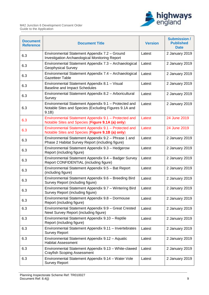

| <b>Document</b><br><b>Reference</b> | <b>Document Title</b>                                                                                                  | <b>Version</b> | <b>Submission /</b><br><b>Published</b><br><b>Date</b> |
|-------------------------------------|------------------------------------------------------------------------------------------------------------------------|----------------|--------------------------------------------------------|
| 6.3                                 | Environmental Statement Appendix 7.2 - Ground<br>Investigation Archaeological Monitoring Report                        | Latest         | 2 January 2019                                         |
| 6.3                                 | Environmental Statement Appendix 7.3 - Archaeological<br><b>Geophysical Survey</b>                                     | Latest         | 2 January 2019                                         |
| 6.3                                 | Environmental Statement Appendix 7.4 - Archaeological<br><b>Gazetteer Table</b>                                        | Latest         | 2 January 2019                                         |
| 6.3                                 | Environmental Statement Appendix 8.1 - Visual<br><b>Baseline and Impact Schedules</b>                                  | Latest         | 2 January 2019                                         |
| 6.3                                 | Environmental Statement Appendix 8.2 - Arboricultural<br>Survey                                                        | Latest         | 2 January 2019                                         |
| 6.3                                 | Environmental Statement Appendix 9.1 - Protected and<br>Notable Sites and Species (Excluding Figures 9.1A and<br>9.1B) | Latest         | 2 January 2019                                         |
| 6.3                                 | Environmental Statement Appendix 9.1 - Protected and<br>Notable Sites and Species (Figure 9.1A (a) only)               | Latest         | 24 June 2019                                           |
| 6.3                                 | Environmental Statement Appendix 9.1 - Protected and<br>Notable Sites and Species (Figure 9.1B (a) only)               | Latest         | 24 June 2019                                           |
| 6.3                                 | Environmental Statement Appendix 9.2 - Phrase 1 and<br>Phase 2 Habitat Survey Report (including figure)                | Latest         | 2 January 2019                                         |
| 6.3                                 | Environmental Statement Appendix 9.3 - Hedgerow<br>Report (including figure)                                           | Latest         | 2 January 2019                                         |
| 6.3                                 | Environmental Statement Appendix 9.4 - Badger Survey<br>Report CONFIDENTIAL (including figure)                         | Latest         | 2 January 2019                                         |
| 6.3                                 | Environmental Statement Appendix 9.5 - Bat Report<br>(including figure)                                                | Latest         | 2 January 2019                                         |
| 6.3                                 | Environmental Statement Appendix 9.6 - Breeding Bird<br>Survey Report (including figure)                               | Latest         | 2 January 2019                                         |
| 6.3                                 | Environmental Statement Appendix 9.7 - Wintering Bird<br>Survey Report (including figure)                              | Latest         | 2 January 2019                                         |
| 6.3                                 | Environmental Statement Appendix 9.8 - Dormouse<br>Report (including figure)                                           | Latest         | 2 January 2019                                         |
| 6.3                                 | Environmental Statement Appendix 9.9 - Great Crested<br>Newt Survey Report (including figure)                          | Latest         | 2 January 2019                                         |
| 6.3                                 | Environmental Statement Appendix 9.10 - Reptile<br>Report (including figure)                                           | Latest         | 2 January 2019                                         |
| 6.3                                 | Environmental Statement Appendix 9.11 - Invertebrates<br><b>Survey Report</b>                                          | Latest         | 2 January 2019                                         |
| 6.3                                 | Environmental Statement Appendix 9.12 - Aquatic<br><b>Habitat Assessment</b>                                           | Latest         | 2 January 2019                                         |
| 6.3                                 | Environmental Statement Appendix 9.13 - White-clawed<br><b>Crayfish Scoping Assessment</b>                             | Latest         | 2 January 2019                                         |
| 6.3                                 | Environmental Statement Appendix 9.14 - Water Vole<br><b>Survey Report</b>                                             | Latest         | 2 January 2019                                         |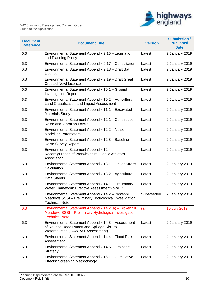

| <b>Document</b><br><b>Reference</b> | <b>Document Title</b>                                                                                                                    | <b>Version</b> | <b>Submission /</b><br><b>Published</b><br><b>Date</b> |
|-------------------------------------|------------------------------------------------------------------------------------------------------------------------------------------|----------------|--------------------------------------------------------|
| 6.3                                 | Environmental Statement Appendix 9.15 - Legislation<br>and Planning Policy                                                               | Latest         | 2 January 2019                                         |
| 6.3                                 | Environmental Statement Appendix 9.17 - Consultation                                                                                     | Latest         | 2 January 2019                                         |
| 6.3                                 | Environmental Statement Appendix 9.18 - Draft Bat<br>Licence                                                                             | Latest         | 2 January 2019                                         |
| 6.3                                 | Environmental Statement Appendix 9.19 - Draft Great<br><b>Crested Newt Licence</b>                                                       | Latest         | 2 January 2019                                         |
| 6.3                                 | Environmental Statement Appendix 10.1 - Ground<br><b>Investigation Report</b>                                                            | Latest         | 2 January 2019                                         |
| 6.3                                 | Environmental Statement Appendix 10.2 - Agricultural<br>Land Classification and Impact Assessment                                        | Latest         | 2 January 2019                                         |
| 6.3                                 | Environmental Statement Appendix 11.1 - Excavated<br><b>Materials Study</b>                                                              | Latest         | 2 January 2019                                         |
| 6.3                                 | Environmental Statement Appendix 12.1 - Construction<br>Noise and Vibration Levels                                                       | Latest         | 2 January 2019                                         |
| 6.3                                 | Environmental Statement Appendix 12.2 - Noise<br><b>Modelling Parameters</b>                                                             | Latest         | 2 January 2019                                         |
| 6.3                                 | Environmental Statement Appendix 12.3 - Baseline<br>Noise Survey Report                                                                  | Latest         | 2 January 2019                                         |
| 6.3                                 | Environmental Statement Appendix 12.4 -<br>Reconfiguration of Warwickshire Gaelic Athletics<br>Association                               | Latest         | 2 January 2019                                         |
| 6.3                                 | Environmental Statement Appendix 13.1 - Driver Stress<br>Calculation                                                                     | Latest         | 2 January 2019                                         |
| 6.3                                 | Environmental Statement Appendix 13.2 - Agricultural<br>Data Sheets                                                                      | Latest         | 2 January 2019                                         |
| 6.3                                 | Environmental Statement Appendix 14.1 - Preliminary<br>Water Framework Directive Assessment (pWFD)                                       | Latest         | 2 January 2019                                         |
| 6.3                                 | Environmental Statement Appendix 14.2 - Bickenhill<br>Meadows SSSI - Preliminary Hydrological Investigation<br><b>Technical Note</b>     | Superseded     | 2 January 2019                                         |
| 6.3                                 | Environmental Statement Appendix 14.2 (a) - Bickenhill<br>Meadows SSSI - Preliminary Hydrological Investigation<br><b>Technical Note</b> | (a)            | 15 July 2019                                           |
| 6.3                                 | Environmental Statement Appendix 14.3 - Assessment<br>of Routine Road Runoff and Spillage Risk to<br>Watercourses (HAWRAT Assessment)    | Latest         | 2 January 2019                                         |
| 6.3                                 | Environmental Statement Appendix 14.4 - Flood Risk<br>Assessment                                                                         | Latest         | 2 January 2019                                         |
| 6.3                                 | Environmental Statement Appendix 14.5 - Drainage<br>Strategy                                                                             | Latest         | 2 January 2019                                         |
| 6.3                                 | Environmental Statement Appendix 16.1 - Cumulative<br><b>Effects: Screening Methodology</b>                                              | Latest         | 2 January 2019                                         |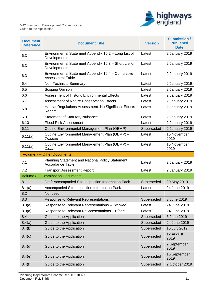

| <b>Document</b><br><b>Reference</b> | <b>Document Title</b>                                                              | <b>Version</b> | <b>Submission /</b><br><b>Published</b><br><b>Date</b> |
|-------------------------------------|------------------------------------------------------------------------------------|----------------|--------------------------------------------------------|
| 6.3                                 | Environmental Statement Appendix 16.2 - Long List of<br>Developments               | Latest         | 2 January 2019                                         |
| 6.3                                 | Environmental Statement Appendix 16.3 - Short List of<br>Developments              | Latest         | 2 January 2019                                         |
| 6.3                                 | Environmental Statement Appendix 16.4 - Cumulative<br><b>Assessment Table</b>      | Latest         | 2 January 2019                                         |
| 6.4                                 | Non-Technical Summary                                                              | Latest         | 2 January 2019                                         |
| 6.5                                 | Scoping Opinion                                                                    | Latest         | 2 January 2019                                         |
| 6.6                                 | <b>Assessment of Historic Environmental Effects</b>                                | Latest         | 2 January 2019                                         |
| 6.7                                 | <b>Assessment of Nature Conservation Effects</b>                                   | Latest         | 2 January 2019                                         |
| 6.8                                 | Habitat Regulations Assessment: No Significant Effects<br>Report                   | Latest         | 2 January 2019                                         |
| 6.9                                 | <b>Statement of Statutory Nuisance</b>                                             | Latest         | 2 January 2019                                         |
| 6.10                                | <b>Flood Risk Assessment</b>                                                       | Latest         | 2 January 2019                                         |
| 6.11                                | Outline Environmental Management Plan (OEMP)                                       | Superseded     | 2 January 2019                                         |
| 6.11(a)                             | Outline Environmental Management Plan (OEMP) -<br><b>Tracked</b>                   | Latest         | 15 November<br>2019                                    |
| 6.11(a)                             | Outline Environmental Management Plan (OEMP) -<br>Clean                            | Latest         | 15 November<br>2019                                    |
|                                     |                                                                                    |                |                                                        |
|                                     | Volume 7 - Other Documents                                                         |                |                                                        |
| 7.1                                 | <b>Planning Statement and National Policy Statement</b><br><b>Accordance Table</b> | Latest         | 2 January 2019                                         |
| 7.2                                 | <b>Transport Assessment Report</b>                                                 | Latest         | 2 January 2019                                         |
|                                     | <b>Volume 8 - Examination Documents</b>                                            |                |                                                        |
| 8.1                                 | Draft Accompanied Site Inspection Information Pack                                 | Superseded     | 20 May 2019                                            |
| 8.1(a)                              | Accompanied Site Inspection Information Pack                                       | Latest         | 24 June 2019                                           |
| 8.2                                 | Not used                                                                           |                |                                                        |
| 8.3                                 | <b>Response to Relevant Representations</b>                                        | Superseded     | 3 June 2019                                            |
| 8.3(a)                              | Response to Relevant Representations - Tracked                                     | Latest         | 24 June 2019                                           |
| 8.3(a)                              | Response to Relevant Re6presentations - Clean                                      | Latest         | 24 June 2019                                           |
| 8.4                                 | Guide to the Application                                                           | Superseded     | 3 June 2019                                            |
| 8.4(a)                              | Guide to the Application                                                           | Superseded     | 24 June 2019                                           |
| 8.4(b)                              | Guide to the Application                                                           | Superseded     | 15 July 2019                                           |
| 8.4(c)                              | Guide to the Application                                                           | Superseded     | 12 August<br>2019                                      |
| 8.4(d)                              | Guide to the Application                                                           | Superseded     | 2 September<br>2019                                    |
| 8.4(e)                              | Guide to the Application                                                           | Superseded     | 16 September<br>2019                                   |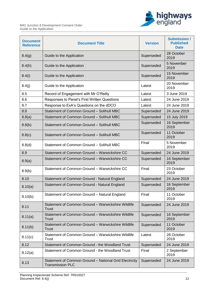

| <b>Document</b><br><b>Reference</b> | <b>Document Title</b>                                                             | <b>Version</b> | <b>Submission /</b><br><b>Published</b><br><b>Date</b> |
|-------------------------------------|-----------------------------------------------------------------------------------|----------------|--------------------------------------------------------|
| 8.4(g)                              | Guide to the Application                                                          | Superseded     | 28 October<br>2019                                     |
| 8.4(h)                              | Guide to the Application                                                          | Superseded     | 5 November<br>2019                                     |
| 8.4(i)                              | Guide to the Application                                                          | Superseded     | 15 November<br>2019                                    |
| 8.4(j)                              | Guide to the Application                                                          | Latest         | 20 November<br>2019                                    |
| 8.5                                 | Record of Engagement with Mr O'Reilly                                             | Latest         | 3 June 2019                                            |
| 8.6                                 | Responses to Panel's First Written Questions                                      | Latest         | 24 June 2019                                           |
| 8.7                                 | Response to ExA's Questions on the dDCO                                           | Latest         | 24 June 2019                                           |
| 8.8                                 | Statement of Common Ground - Solihull MBC                                         | Superseded     | 24 June 2019                                           |
| 8.8(a)                              | Statement of Common Ground - Solihull MBC                                         | Superseded     | 15 July 2019                                           |
| 8.8(b)                              | Statement of Common Ground - Solihull MBC                                         | Superseded     | 16 September<br>2019                                   |
| 8.8(c)                              | Statement of Common Ground - Solihull MBC                                         | Superseded     | 11 October<br>2019                                     |
| 8.8(d)                              | Statement of Common Ground - Solihull MBC                                         | Final          | 5 November<br>2019                                     |
| 8.9                                 | Statement of Common Ground - Warwickshire CC                                      | Superseded     | 24 June 2019                                           |
| 8.9(a)                              | Statement of Common Ground - Warwickshire CC                                      | Superseded     | 16 September<br>2019                                   |
| 8.9(b)                              | Statement of Common Ground - Warwickshire CC                                      | Final          | 23 October<br>2019                                     |
| 8.10                                | Statement of Common Ground - Natural England                                      | Superseded     | 24 June 2019                                           |
| 8.10(a)                             | Statement of Common Ground - Natural England                                      | Superseded     | 16 September<br>2019                                   |
| 8.10(b)                             | Statement of Common Ground - Natural England                                      | Final          | 11 October<br>2019                                     |
| 8.11                                | Statement of Common Ground - Warwickshire Wildlife<br><b>Trust</b>                | Superseded     | 24 June 2019                                           |
| 8.11(a)                             | Statement of Common Ground - Warwickshire Wildlife<br><b>Trust</b>                | Superseded     | 16 September<br>2019                                   |
| 8.11(b)                             | Statement of Common Ground - Warwickshire Wildlife<br>Trust                       | Superseded     | 11 October<br>2019                                     |
| 8.11(c)                             | Statement of Common Ground - Warwickshire Wildlife<br>Trust                       | Latest         | 28 October<br>2019                                     |
| 8.12                                | Statement of Common Ground - the Woodland Trust                                   | Superseded     | 24 June 2019                                           |
| 8.12(a)                             | Statement of Common Ground - the Woodland Trust                                   | Final          | 2 September<br>2019                                    |
| 8.13                                | Statement of Common Ground - National Grid Electricity<br><b>Transmission PLC</b> | Superseded     | 24 June 2019                                           |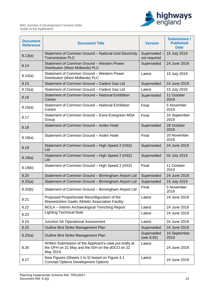

| <b>Document</b><br><b>Reference</b> | <b>Document Title</b>                                                                                                   | <b>Version</b>              | <b>Submission /</b><br><b>Published</b><br><b>Date</b> |
|-------------------------------------|-------------------------------------------------------------------------------------------------------------------------|-----------------------------|--------------------------------------------------------|
| 8.13(a)                             | Statement of Common Ground - National Grid Electricity<br><b>Transmission PLC</b>                                       | Superseded-<br>not required | 15 July 2019                                           |
| 8.14                                | Statement of Common Ground - Western Power<br>Distribution (West Midlands) PLC                                          | Superseded                  | 24 June 2019                                           |
| 8.14(a)                             | Statement of Common Ground - Western Power<br>Distribution (West Midlands) PLC                                          | Latest                      | 15 July 2019                                           |
| 8.15                                | Statement of Common Ground - Cadent Gas Ltd                                                                             | Superseded                  | 24 June 2019                                           |
| 8.15(a)                             | Statement of Common Ground - Cadent Gas Ltd                                                                             | Latest                      | 15 July 2019                                           |
| 8.16                                | Statement of Common Ground - National Exhibition<br>Centre                                                              | Superseded                  | 11 October<br>2019                                     |
| 8.16(a)                             | Statement of Common Ground - National Exhibition<br>Centre                                                              | Final                       | 5 November<br>2019                                     |
| 8.17                                | Statement of Common Ground - Extra Evergreen MSA<br>Group                                                               | Final                       | 16 September<br>2019                                   |
| 8.18                                | Statement of Common Ground - Arden Hotel                                                                                | Superseded                  | 28 October<br>2019                                     |
| 8.18(a)                             | Statement of Common Ground - Arden Hotel                                                                                | Final                       | 20 November<br>2019                                    |
| 8.19                                | Statement of Common Ground - High Speed 2 (HS2)<br>Ltd                                                                  | Superseded                  | 24 June 2019                                           |
| 8.19(a)                             | Statement of Common Ground - High Speed 2 (HS2)<br>Ltd                                                                  | Superseded                  | 02 July 2019                                           |
| 8.19(b)                             | Statement of Common Ground - High Speed 2 (HS2)                                                                         | Final                       | 11 October<br>2019                                     |
| 8.20                                | Statement of Common Ground - Birmingham Airport Ltd                                                                     | Superseded                  | 24 June 2019                                           |
| 8.20(a)                             | Statement of Common Ground - Birmingham Airport Ltd                                                                     | Superseded                  | 15 July 2019                                           |
| 8.20(b)                             | Statement of Common Ground - Birmingham Airport Ltd                                                                     | Final                       | 5 November<br>2019                                     |
| 8.21                                | Proposed Proportionate Reconfiguration of the<br>Warwickshire Gaelic Athletic Association Facility                      | Latest                      | 24 June 2019                                           |
| 8.22                                | MOLA - Interim Archaeological Trenching Report                                                                          | Latest                      | 24 June 2019                                           |
| 8.23                                | <b>Lighting Technical Note</b>                                                                                          | Latest                      | 24 June 2019                                           |
| 8.24                                | Junction 5A Operational Assessment                                                                                      | Latest                      | 24 June 2019                                           |
| 8.25                                | Outline Bird Strike Management Plan                                                                                     | Superseded                  | 24 June 2019                                           |
| 8.25(a)                             | Outline Bird Strike Management Plan                                                                                     | Superseded<br>(see 8.92)    | 16 September<br>2019                                   |
| 8.26                                | Written Submission of the Applicant's case put orally at<br>the OFH on 21 May and the ISH on the dDCO on 22<br>May 2019 | Latest                      | 24 June 2019                                           |
| 8.27                                | New Figures (Sheets 1 to 5) based on Figure 4.1<br><b>Concept Options Development Options</b>                           | Latest                      | 24 June 2019                                           |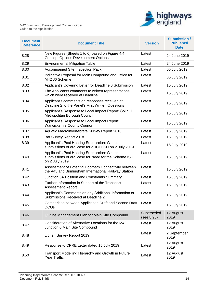



| <b>Document</b><br><b>Reference</b> | <b>Document Title</b>                                                                                                  | <b>Version</b>           | <b>Submission /</b><br><b>Published</b><br><b>Date</b> |
|-------------------------------------|------------------------------------------------------------------------------------------------------------------------|--------------------------|--------------------------------------------------------|
| 8.28                                | New Figures (Sheets 1 to 6) based on Figure 4.4<br><b>Concept Options Development Options</b>                          | Latest                   | 24 June 2019                                           |
| 8.29                                | <b>Environmental Mitigation Table</b>                                                                                  | Latest                   | 24 June 2019                                           |
| 8.30                                | Accompanied Site Inspection Pack                                                                                       | Latest                   | 05 July 2019                                           |
| 8.31                                | Indicative Proposal for Main Compound and Office for<br>M42 J6 Scheme                                                  | Latest                   | 05 July 2019                                           |
| 8.32                                | Applicant's Covering Letter for Deadline 3 Submission                                                                  | Latest                   | 15 July 2019                                           |
| 8.33                                | The Applicants comments to written representations<br>which were received at Deadline 1                                | Latest                   | 15 July 2019                                           |
| 8.34                                | Applicant's comments on responses received at<br>Deadline 2 to the Panel's First Written Questions                     | Latest                   | 15 July 2019                                           |
| 8.35                                | Applicant's Response to Local Impact Report: Solihull<br>Metropolitan Borough Council                                  | Latest                   | 15 July 2019                                           |
| 8.36                                | Applicant's Response to Local Impact Report:<br><b>Warwickshire County Council</b>                                     | Latest                   | 15 July 2019                                           |
| 8.37                                | Aquatic Macroinvertebrate Survey Report 2018                                                                           | Latest                   | 15 July 2019                                           |
| 8.38                                | Bat Survey Report 2018                                                                                                 | Latest                   | 15 July 2019                                           |
| 8.39                                | Applicant's Post Hearing Submission: Written<br>submissions of oral case for dDCO ISH on 2 July 2019                   | Latest                   | 15 July 2019                                           |
| 8.40                                | Applicant's Post Hearing Submission: Written<br>submissions of oral case for Need for the Scheme ISH<br>on 2 July 2019 | Latest                   | 15 July 2019                                           |
| 8.41                                | Assessment of Potential Footpath Connectivity between<br>the A45 and Birmingham International Railway Station          | Latest                   | 15 July 2019                                           |
| 8.42                                | Junction 5A Position and Constraints Summary                                                                           | Latest                   | 15 July 2019                                           |
| 8.43                                | Further Information in Support of the Transport<br><b>Assessment Report</b>                                            | Latest                   | 15 July 2019                                           |
| 8.44                                | Applicant's Comments on any Additional Information or<br>Submissions Received at Deadline 2                            | Latest                   | 15 July 2019                                           |
| 8.45                                | Comparison between Application Draft and Second Draft<br><b>DCOs</b>                                                   | Latest                   | 15 July 2019                                           |
| 8.46                                | Outline Management Plan for Main Site Compound                                                                         | Superseded<br>(see 8.96) | 12 August<br>2019                                      |
| 8.47                                | Consideration of Alternative Locations for the M42<br>Junction 6 Main Site Compound                                    | Latest                   | 12 August<br>2019                                      |
| 8.48                                | Lichen Survey Report 2019                                                                                              | Latest                   | 2 September<br>2019                                    |
| 8.49                                | Response to CPRE Letter dated 15 July 2019                                                                             | Latest                   | 12 August<br>2019                                      |
| 8.50                                | Transport Modelling Hierarchy and Growth in Future<br>Year Traffic                                                     | Latest                   | 12 August<br>2019                                      |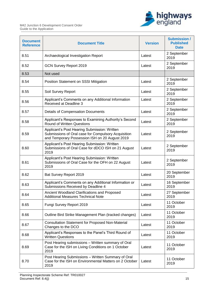

| <b>Document</b><br><b>Reference</b> | <b>Document Title</b>                                                                                                                                 | <b>Version</b> | <b>Submission /</b><br><b>Published</b><br><b>Date</b> |
|-------------------------------------|-------------------------------------------------------------------------------------------------------------------------------------------------------|----------------|--------------------------------------------------------|
| 8.51                                | Archaeological Investigation Report                                                                                                                   | Latest         | 2 September<br>2019                                    |
| 8.52                                | <b>GCN Survey Report 2019</b>                                                                                                                         | Latest         | 2 September<br>2019                                    |
| 8.53                                | Not used                                                                                                                                              |                |                                                        |
| 8.54                                | Position Statement on SSSI Mitigation                                                                                                                 | Latest         | 2 September<br>2019                                    |
| 8.55                                | Soil Survey Report                                                                                                                                    | Latest         | 2 September<br>2019                                    |
| 8.56                                | Applicant's Comments on any Additional Information<br>Received at Deadline 3                                                                          | Latest         | 2 September<br>2019                                    |
| 8.57                                | <b>Details of Compensation Documents</b>                                                                                                              | Latest         | 2 September<br>2019                                    |
| 8.58                                | Applicant's Responses to Examining Authority's Second<br><b>Round of Written Questions</b>                                                            | Latest         | 2 September<br>2019                                    |
| 8.59                                | Applicant's Post Hearing Submission: Written<br>Submissions of Oral case for Compulsory Acquisition<br>and Temporary Possession ISH on 20 August 2019 | Latest         | 2 September<br>2019                                    |
| 8.60                                | Applicant's Post Hearing Submission: Written<br>Submissions of Oral Case for dDCO ISH on 21 August<br>2019                                            | Latest         | 2 September<br>2019                                    |
| 8.61                                | Applicant's Post Hearing Submission: Written<br>Submissions of Oral Case for the OFH on 22 August<br>2019                                             | Latest         | 2 September<br>2019                                    |
| 8.62                                | Bat Survey Report 2019                                                                                                                                | Latest         | 20 September<br>2019                                   |
| 8.63                                | Applicant's Comments on any Additional Information or<br>Submissions Received by Deadline 4                                                           | Latest         | 16 September<br>2019                                   |
| 8.64                                | Ancient Woodland Clarifications and Proposed<br><b>Additional Measures Technical Note</b>                                                             | Latest         | 27 September<br>2019                                   |
| 8.65                                | Fungi Survey Report 2019                                                                                                                              | Latest         | 11 October<br>2019                                     |
| 8.66                                | Outline Bird Strike Management Plan (tracked changes)                                                                                                 | Latest         | 11 October<br>2019                                     |
| 8.67                                | <b>Consultation Statement for Proposed Non-Material</b><br>Changes to the DCO                                                                         | Latest         | 11 October<br>2019                                     |
| 8.68                                | Applicant's Responses to the Panel's Third Round of<br><b>Written Questions</b>                                                                       | Latest         | 11 October<br>2019                                     |
| 8.69                                | Post Hearing submissions - Written summary of Oral<br>Case for the ISH on Living Conditions on 1 October<br>2019                                      | Latest         | 11 October<br>2019                                     |
| 8.70                                | Post Hearing Submissions - Written Summary of Oral<br>Case for the ISH on Environmental Matters on 2 October<br>2019                                  | Latest         | 11 October<br>2019                                     |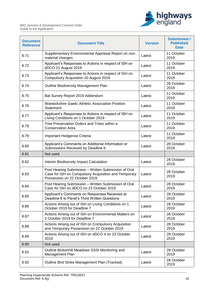

| <b>Document</b><br><b>Reference</b> | <b>Document Title</b>                                                                                                                         | <b>Version</b> | <b>Submission /</b><br><b>Published</b><br><b>Date</b> |
|-------------------------------------|-----------------------------------------------------------------------------------------------------------------------------------------------|----------------|--------------------------------------------------------|
| 8.71                                | Supplementary Environmental Appraisal Report on non-<br>material changes                                                                      | Latest         | 11 October<br>2019                                     |
| 8.72                                | Applicant's Responses to Actions in respect of ISH on<br>dDCO 21 August 2019                                                                  | Latest         | 11 October<br>2019                                     |
| 8.73                                | Applicant's Responses to Actions in respect of ISH on<br><b>Compulsory Acquisition 20 August 2019</b>                                         | Latest         | 11 October<br>2019                                     |
| 8.74                                | Outline Biodiversity Management Plan                                                                                                          | Latest         | 28 October<br>2019                                     |
| 8.75                                | Bat Survey Report 2019 Addendum                                                                                                               | Latest         | 11 October<br>2019                                     |
| 8.76                                | <b>Warwickshire Gaelic Athletic Association Position</b><br><b>Statement</b>                                                                  | Latest         | 11 October<br>2019                                     |
| 8.77                                | Applicant's Responses to Actions in respect of ISH on<br>Living Conditions on 1 October 2019                                                  | Latest         | 11 October<br>2019                                     |
| 8.78                                | Tree Preservation Orders and Trees within a<br><b>Conservation Area</b>                                                                       | Latest         | 11 October<br>2019                                     |
| 8.79                                | Important Hedgerow Criteria                                                                                                                   | Latest         | 11 October<br>2019                                     |
| 8.80                                | Applicant's Comments on Additional Information or<br>Submissions Received by Deadline 6                                                       | Latest         | 28 October<br>2019                                     |
| 8.81                                | Not used                                                                                                                                      |                |                                                        |
| 8.82                                | Interim Biodiversity Impact Calculation                                                                                                       | Latest         | 28 October<br>2019                                     |
| 8.83                                | Post Hearing Submission - Written Submission of Oral<br>Case for ISH on Compulsory Acquisition and Temporary<br>Possession on 22 October 2019 | Latest         | 28 October<br>2019                                     |
| 8.84                                | Post Hearing Submission - Written Submission of Oral<br>Case for ISH on dDCO on 23 October 2019                                               | Latest         | 28 October<br>2019                                     |
| 8.85                                | Applicant's Comments on Responses Received at<br>Deadline 6 to Panel's Third Written Questions                                                | Latest         | 28 October<br>2019                                     |
| 8.86                                | Actions Arising out of ISH on Living Conditions on 1<br>October 2019 for Deadline 7                                                           | Latest         | 28 October<br>2019                                     |
| 8.87                                | Actions Arising out of ISH on Environmental Matters on<br>2 October 2019 for Deadline 7                                                       | Latest         | 28 October<br>2019                                     |
| 8.88                                | Actions Arising out of ISH on Compulsory Acquisition<br>and Temporary Possession on 22 October 2019                                           | Latest         | 28 October<br>2019                                     |
| 8.89                                | Actions Arising out of ISH on dDCO 4 on 23 October<br>2019                                                                                    | Latest         | 28 October<br>2019                                     |
| 8.90                                | Not used                                                                                                                                      |                |                                                        |
| 8.91                                | Outline Bickenhill Meadows SSSI Monitoring and<br>Management Plan                                                                             | Latest         | 28 October<br>2019                                     |
| 8.92                                | Outline Bird Strike Management Plan (Tracked)                                                                                                 | Latest         | 28 October<br>2019                                     |